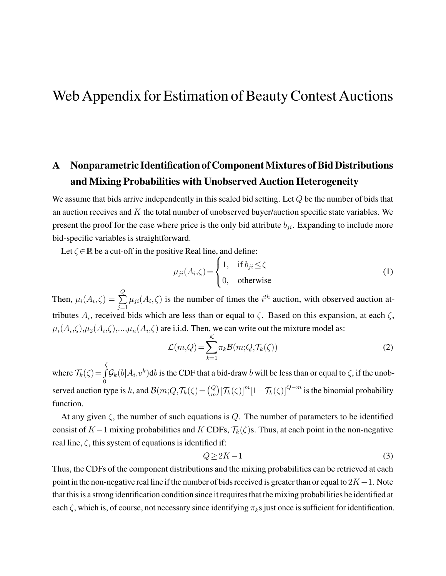# <span id="page-0-0"></span>Web Appendix for Estimation of Beauty Contest Auctions

## A Nonparametric Identification of Component Mixtures of Bid Distributions and Mixing Probabilities with Unobserved Auction Heterogeneity

We assume that bids arrive independently in this sealed bid setting. Let Q be the number of bids that an auction receives and  $K$  the total number of unobserved buyer/auction specific state variables. We present the proof for the case where price is the only bid attribute  $b_{ii}$ . Expanding to include more bid-specific variables is straightforward.

Let  $\zeta \in \mathbb{R}$  be a cut-off in the positive Real line, and define:

$$
\mu_{ji}(A_i,\zeta) = \begin{cases} 1, & \text{if } b_{ji} \le \zeta \\ 0, & \text{otherwise} \end{cases}
$$
 (1)

Then,  $\mu_i(A_i,\zeta) = \sum$ Q  $j=1$  $\mu_{ji}(A_i, \zeta)$  is the number of times the  $i^{th}$  auction, with observed auction attributes  $A_i$ , received bids which are less than or equal to  $\zeta$ . Based on this expansion, at each  $\zeta$ ,  $\mu_i(A_i,\zeta),\mu_2(A_i,\zeta),...,\mu_n(A_i,\zeta)$  are i.i.d. Then, we can write out the mixture model as:

$$
\mathcal{L}(m, Q) = \sum_{k=1}^{K} \pi_k \mathcal{B}(m; Q, \mathcal{T}_k(\zeta))
$$
\n(2)

where  $\mathcal{T}_{k}(\zeta)$  = ζ  $\int \mathcal{G}_k(b|A_i,v^k)$ db is the CDF that a bid-draw b will be less than or equal to  $\zeta$ , if the unob-0 served auction type is k, and  $\mathcal{B}(m;Q,\mathcal{T}_k(\zeta))\in {Q \choose m}[\mathcal{T}_k(\zeta)]^m[1-\mathcal{T}_k(\zeta)]^{Q-m}$  is the binomial probability function.

At any given  $\zeta$ , the number of such equations is Q. The number of parameters to be identified consist of K−1 mixing probabilities and K CDFs,  $\mathcal{T}_k(\zeta)$ s. Thus, at each point in the non-negative real line,  $\zeta$ , this system of equations is identified if:

$$
Q \ge 2K - 1\tag{3}
$$

Thus, the CDFs of the component distributions and the mixing probabilities can be retrieved at each point in the non-negative real line if the number of bids received is greater than or equal to  $2K-1$ . Note that this is a strong identification condition since it requires that the mixing probabilities be identified at each  $\zeta$ , which is, of course, not necessary since identifying  $\pi_k$ s just once is sufficient for identification.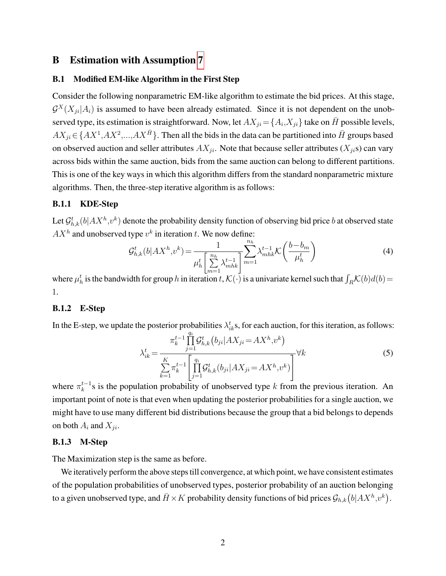## <span id="page-1-0"></span>B Estimation with Assumption [7](#page-0-0)

### B.1 Modified EM-like Algorithm in the First Step

Consider the following nonparametric EM-like algorithm to estimate the bid prices. At this stage,  $\mathcal{G}^{X}(X_{ji}|A_i)$  is assumed to have been already estimated. Since it is not dependent on the unobserved type, its estimation is straightforward. Now, let  $AX_{ji} = \{A_i, X_{ji}\}$  take on  $\bar{H}$  possible levels,  $AX_{ji} \in \left\{AX^1,AX^2,...,AX^{\bar{H}}\right\}$ . Then all the bids in the data can be partitioned into  $\bar{H}$  groups based on observed auction and seller attributes  $AX_{ji}$ . Note that because seller attributes  $(X_{ji}s)$  can vary across bids within the same auction, bids from the same auction can belong to different partitions. This is one of the key ways in which this algorithm differs from the standard nonparametric mixture algorithms. Then, the three-step iterative algorithm is as follows:

### B.1.1 KDE-Step

Let  $\mathcal{G}^t_{h,k}(b|AX^h,v^k)$  denote the probability density function of observing bid price  $b$  at observed state  $AX<sup>h</sup>$  and unobserved type  $v<sup>k</sup>$  in iteration t. We now define:

$$
\mathcal{G}_{h,k}^{t}(b|AX^{h},v^{k}) = \frac{1}{\mu_{h}^{t}\left[\sum_{m=1}^{n_{h}}\lambda_{mhk}^{t-1}\right]} \sum_{m=1}^{n_{h}}\lambda_{mhk}^{t-1}\mathcal{K}\left(\frac{b-b_{m}}{\mu_{h}^{t}}\right)
$$
(4)

where  $\mu_h^t$  is the bandwidth for group h in iteration t,  $K(\cdot)$  is a univariate kernel such that  $\int_R K(b)d(b)$ 1.

### B.1.2 E-Step

In the E-step, we update the posterior probabilities  $\lambda_{ik}^t$ s, for each auction, for this iteration, as follows:

$$
\lambda_{ik}^{t} = \frac{\pi_{k}^{t-1} \prod_{j=1}^{q_{i}} \mathcal{G}_{h,k}^{t}(b_{ji}|AX_{ji} = AX^{h}, v^{k})}{\sum_{k=1}^{K} \pi_{k}^{t-1} \left[ \prod_{j=1}^{q_{i}} \mathcal{G}_{h,k}^{t}(b_{ji}|AX_{ji} = AX^{h}, v^{k}) \right]} \forall k
$$
\n(5)

where  $\pi_k^{t-1}$  $k_k^{t-1}$ s is the population probability of unobserved type k from the previous iteration. An important point of note is that even when updating the posterior probabilities for a single auction, we might have to use many different bid distributions because the group that a bid belongs to depends on both  $A_i$  and  $X_{ii}$ .

### B.1.3 M-Step

The Maximization step is the same as before.

We iteratively perform the above steps till convergence, at which point, we have consistent estimates of the population probabilities of unobserved types, posterior probability of an auction belonging to a given unobserved type, and  $\bar{H} \times K$  probability density functions of bid prices  $\mathcal{G}_{h,k}\big(b|AX^h,v^k\big).$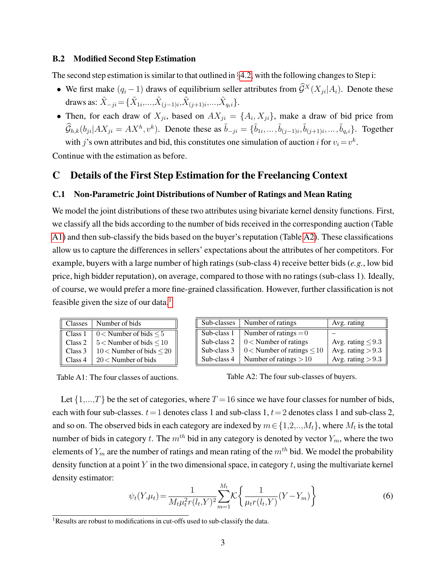### <span id="page-2-2"></span>B.2 Modified Second Step Estimation

The second step estimation is similar to that outlined in §[4.2,](#page-0-0) with the following changes to Step i:

- We first make  $(q_i 1)$  draws of equilibrium seller attributes from  $\hat{\mathcal{G}}^X(X_{ii}|A_i)$ . Denote these draws as:  $\tilde{X}_{-ji}$   $=$   $\{ \tilde{X}_{1i},...,\tilde{X}_{(j-1)i},\tilde{X}_{(j+1)i},...,\tilde{X}_{q_i i} \}$ .
- Then, for each draw of  $X_{ji}$ , based on  $AX_{ji} = \{A_i, X_{ji}\}$ , make a draw of bid price from  $\widehat{G}_{h,k}(b_{ji}|AX_{ji} = AX^h, v^k)$ . Denote these as  $\tilde{b}_{-ji} = \{\tilde{b}_{1i}, \ldots, \tilde{b}_{(j-1)i}, \tilde{b}_{(j+1)i}, \ldots, \tilde{b}_{q_i i}\}$ . Together

with j's own attributes and bid, this constitutes one simulation of auction i for  $v_i = v^k$ .

Continue with the estimation as before.

## C Details of the First Step Estimation for the Freelancing Context

### C.1 Non-Parametric Joint Distributions of Number of Ratings and Mean Rating

We model the joint distributions of these two attributes using bivariate kernel density functions. First, we classify all the bids according to the number of bids received in the corresponding auction (Table [A1\)](#page-2-0) and then sub-classify the bids based on the buyer's reputation (Table [A2\)](#page-2-0). These classifications allow us to capture the differences in sellers' expectations about the attributes of her competitors. For example, buyers with a large number of high ratings (sub-class 4) receive better bids (*e.g.*, low bid price, high bidder reputation), on average, compared to those with no ratings (sub-class 1). Ideally, of course, we would prefer a more fine-grained classification. However, further classification is not feasible given the size of our data.<sup>[1](#page-2-1)</sup>

<span id="page-2-0"></span>

| <b>Classes</b>     | Number of bids                  |
|--------------------|---------------------------------|
| Class 1            | $0 <$ Number of bids $\le 5$    |
| Class 2            | $5 <$ Number of bids $< 10$     |
| Class <sub>3</sub> | $10 <$ Number of bids $\leq 20$ |
| Class 4            | $20 <$ Number of bids           |

| Sub-classes | Number of ratings                 | Avg. rating            |
|-------------|-----------------------------------|------------------------|
| Sub-class 1 | Number of ratings $= 0$           |                        |
| Sub-class 2 | $0 <$ Number of ratings           | Avg. rating $\leq 9.3$ |
| Sub-class 3 | $0 <$ Number of ratings $\leq 10$ | Avg. rating $> 9.3$    |
| Sub-class 4 | Number of ratings $>10$           | Avg. rating $> 9.3$    |

Table A2: The four sub-classes of buyers.

Let  $\{1,...,T\}$  be the set of categories, where  $T = 16$  since we have four classes for number of bids, each with four sub-classes,  $t=1$  denotes class 1 and sub-class 1,  $t=2$  denotes class 1 and sub-class 2, and so on. The observed bids in each category are indexed by  $m \in \{1,2,..,M_t\}$ , where  $M_t$  is the total number of bids in category t. The  $m^{th}$  bid in any category is denoted by vector  $Y_m$ , where the two elements of  $Y_m$  are the number of ratings and mean rating of the  $m<sup>th</sup>$  bid. We model the probability density function at a point  $Y$  in the two dimensional space, in category  $t$ , using the multivariate kernel density estimator:

$$
\psi_t(Y,\mu_t) = \frac{1}{M_t \mu_t^2 r(l_t, Y)^2} \sum_{m=1}^{M_t} \mathcal{K} \left\{ \frac{1}{\mu_t r(l_t, Y)} (Y - Y_m) \right\} \tag{6}
$$

<span id="page-2-1"></span><sup>&</sup>lt;sup>1</sup>Results are robust to modifications in cut-offs used to sub-classify the data.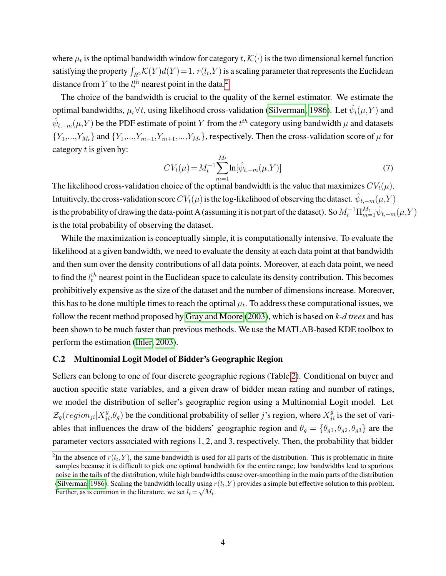where  $\mu_t$  is the optimal bandwidth window for category  $t, \mathcal{K}(\cdot)$  is the two dimensional kernel function satisfying the property  $\int_{R^2} \mathcal{K}(Y) d(Y) = 1$ .  $r(l_t, Y)$  is a scaling parameter that represents the Euclidean distance from Y to the  $l_t^{th}$  nearest point in the data.<sup>[2](#page-3-0)</sup>

The choice of the bandwidth is crucial to the quality of the kernel estimator. We estimate the optimal bandwidths,  $\mu_t \forall t$ , using likelihood cross-validation [\(Silverman, 1986\)](#page-14-0). Let  $\hat{\psi}_t(\mu, Y)$  and  $\hat{\psi}_{t,-m}(\mu, Y)$  be the PDF estimate of point Y from the  $t^{th}$  category using bandwidth  $\mu$  and datasets  ${Y_1,...,Y_{M_t}}$  and  ${Y_1,...,Y_{m-1},Y_{m+1},...,Y_{M_t}}$ , respectively. Then the cross-validation score of  $\mu$  for category  $t$  is given by:

$$
CVt(\mu) = Mt-1 \sum_{m=1}^{Mt} \ln[\hat{\psi}_{t,-m}(\mu, Y)]
$$
\n(7)

The likelihood cross-validation choice of the optimal bandwidth is the value that maximizes  $CV_t(\mu)$ . Intuitively, the cross-validation score  $CV_t(\mu)$  is the log-likelihood of observing the dataset.  $\hat{\psi}_{t,-m}(\mu,Y)$ is the probability of drawing the data-point A (assuming it is not part of the dataset). So  $M_t^{-1}\Pi_{m=1}^{M_t}\hat\psi_{t,-m}(\mu,Y)$ is the total probability of observing the dataset.

While the maximization is conceptually simple, it is computationally intensive. To evaluate the likelihood at a given bandwidth, we need to evaluate the density at each data point at that bandwidth and then sum over the density contributions of all data points. Moreover, at each data point, we need to find the  $l_t^{th}$  nearest point in the Euclidean space to calculate its density contribution. This becomes prohibitively expensive as the size of the dataset and the number of dimensions increase. Moreover, this has to be done multiple times to reach the optimal  $\mu_t$ . To address these computational issues, we follow the recent method proposed by [Gray and Moore](#page-14-1) [\(2003\)](#page-14-1), which is based on *k-d trees* and has been shown to be much faster than previous methods. We use the MATLAB-based KDE toolbox to perform the estimation [\(Ihler, 2003\)](#page-14-2).

### C.2 Multinomial Logit Model of Bidder's Geographic Region

Sellers can belong to one of four discrete geographic regions (Table [2\)](#page-12-0). Conditional on buyer and auction specific state variables, and a given draw of bidder mean rating and number of ratings, we model the distribution of seller's geographic region using a Multinomial Logit model. Let  $\mathcal{Z}_g (region_{ji} | X_{ji}^g, \theta_g)$  be the conditional probability of seller j's region, where  $X_{ji}^g$  is the set of variables that influences the draw of the bidders' geographic region and  $\theta_g = {\theta_{g1}, \theta_{g2}, \theta_{g3}}$  are the parameter vectors associated with regions 1, 2, and 3, respectively. Then, the probability that bidder

<span id="page-3-0"></span><sup>&</sup>lt;sup>2</sup>In the absence of  $r(l_t, Y)$ , the same bandwidth is used for all parts of the distribution. This is problematic in finite samples because it is difficult to pick one optimal bandwidth for the entire range; low bandwidths lead to spurious noise in the tails of the distribution, while high bandwidths cause over-smoothing in the main parts of the distribution [\(Silverman, 1986\)](#page-14-0). Scaling the bandwidth locally using  $r(l_t,Y)$  provides a simple but effective solution to this problem. Further, as is common in the literature, we set  $l_t = \sqrt{M_t}$ .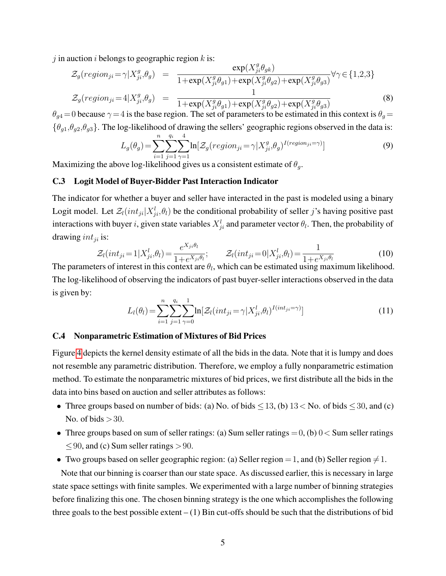j in auction i belongs to geographic region  $k$  is:

$$
\mathcal{Z}_g(region_{ji} = \gamma | X_{ji}^g, \theta_g) = \frac{\exp(X_{ji}^g \theta_{gk})}{1 + \exp(X_{ji}^g \theta_{g1}) + \exp(X_{ji}^g \theta_{g2}) + \exp(X_{ji}^g \theta_{g3})} \forall \gamma \in \{1, 2, 3\}
$$
\n
$$
\mathcal{Z}_g(region_{ji} = 4 | X_{ji}^g, \theta_g) = \frac{1}{1 + \exp(X_{ji}^g \theta_{g1}) + \exp(X_{ji}^g \theta_{g2}) + \exp(X_{ji}^g \theta_{g3})}
$$
\n(8)

 $\theta_{g4}$  = 0 because  $\gamma$  = 4 is the base region. The set of parameters to be estimated in this context is  $\theta_g$  =  $\{\theta_{g1}, \theta_{g2}, \theta_{g3}\}.$  The log-likelihood of drawing the sellers' geographic regions observed in the data is:  $q_i$  4

$$
L_g(\theta_g) = \sum_{i=1}^n \sum_{j=1}^{q_i} \sum_{\gamma=1}^4 \ln[\mathcal{Z}_g(\text{region}_{ji} = \gamma | X_{ji}^g, \theta_g)^{I(\text{region}_{ji} = \gamma)}]
$$
(9)

Maximizing the above log-likelihood gives us a consistent estimate of  $\theta_g$ .

### C.3 Logit Model of Buyer-Bidder Past Interaction Indicator

The indicator for whether a buyer and seller have interacted in the past is modeled using a binary Logit model. Let  $\mathcal{Z}_l(int_{ji}|X_{ji}^l, \theta_l)$  be the conditional probability of seller j's having positive past interactions with buyer *i*, given state variables  $X_{ji}^l$  and parameter vector  $\theta_l$ . Then, the probability of drawing  $int_{ii}$  is:  $\overline{X}$ 

$$
\mathcal{Z}_l(int_{ji} = 1 | X_{ji}^l, \theta_l) = \frac{e^{X_{ji}\theta_l}}{1 + e^{X_{ji}\theta_l}}; \qquad \mathcal{Z}_l(int_{ji} = 0 | X_{ji}^l, \theta_l) = \frac{1}{1 + e^{X_{ji}\theta_l}} \tag{10}
$$

The parameters of interest in this context are  $\theta_l$ , which can be estimated using maximum likelihood. The log-likelihood of observing the indicators of past buyer-seller interactions observed in the data is given by:

$$
L_l(\theta_l) = \sum_{i=1}^n \sum_{j=1}^{q_i} \sum_{\gamma=0}^1 \ln[\mathcal{Z}_l(int_{ji} = \gamma | X_{ji}^l, \theta_l)^{I(int_{ji} = \gamma)}]
$$
(11)

### C.4 Nonparametric Estimation of Mixtures of Bid Prices

Figure [4](#page-14-3) depicts the kernel density estimate of all the bids in the data. Note that it is lumpy and does not resemble any parametric distribution. Therefore, we employ a fully nonparametric estimation method. To estimate the nonparametric mixtures of bid prices, we first distribute all the bids in the data into bins based on auction and seller attributes as follows:

- Three groups based on number of bids: (a) No. of bids  $\leq$  13, (b) 13  $\leq$  No. of bids  $\leq$  30, and (c) No. of bids  $>30$ .
- Three groups based on sum of seller ratings: (a) Sum seller ratings  $=0$ , (b)  $0 <$  Sum seller ratings  $<$ 90, and (c) Sum seller ratings  $>$ 90.
- Two groups based on seller geographic region: (a) Seller region = 1, and (b) Seller region  $\neq$  1.

Note that our binning is coarser than our state space. As discussed earlier, this is necessary in large state space settings with finite samples. We experimented with a large number of binning strategies before finalizing this one. The chosen binning strategy is the one which accomplishes the following three goals to the best possible extent  $- (1)$  Bin cut-offs should be such that the distributions of bid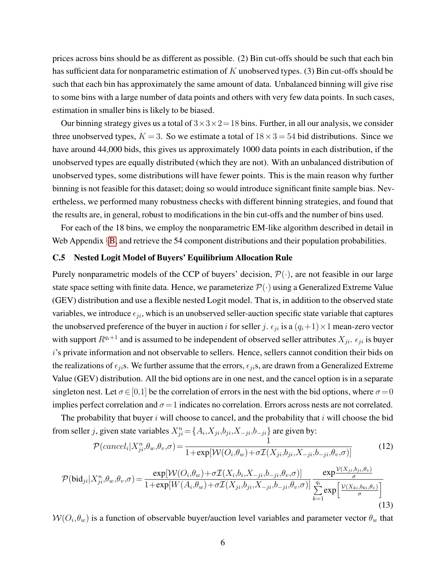prices across bins should be as different as possible. (2) Bin cut-offs should be such that each bin has sufficient data for nonparametric estimation of  $K$  unobserved types. (3) Bin cut-offs should be such that each bin has approximately the same amount of data. Unbalanced binning will give rise to some bins with a large number of data points and others with very few data points. In such cases, estimation in smaller bins is likely to be biased.

Our binning strategy gives us a total of  $3 \times 3 \times 2 = 18$  bins. Further, in all our analysis, we consider three unobserved types,  $K = 3$ . So we estimate a total of  $18 \times 3 = 54$  bid distributions. Since we have around 44,000 bids, this gives us approximately 1000 data points in each distribution, if the unobserved types are equally distributed (which they are not). With an unbalanced distribution of unobserved types, some distributions will have fewer points. This is the main reason why further binning is not feasible for this dataset; doing so would introduce significant finite sample bias. Nevertheless, we performed many robustness checks with different binning strategies, and found that the results are, in general, robust to modifications in the bin cut-offs and the number of bins used.

For each of the 18 bins, we employ the nonparametric EM-like algorithm described in detail in Web Appendix §[B,](#page-1-0) and retrieve the 54 component distributions and their population probabilities.

### <span id="page-5-1"></span>C.5 Nested Logit Model of Buyers' Equilibrium Allocation Rule

Purely nonparametric models of the CCP of buyers' decision,  $\mathcal{P}(\cdot)$ , are not feasible in our large state space setting with finite data. Hence, we parameterize  $\mathcal{P}(\cdot)$  using a Generalized Extreme Value (GEV) distribution and use a flexible nested Logit model. That is, in addition to the observed state variables, we introduce  $\epsilon_{ji}$ , which is an unobserved seller-auction specific state variable that captures the unobserved preference of the buyer in auction i for seller j.  $\epsilon_{ji}$  is a  $(q_i+1)\times1$  mean-zero vector with support  $R^{q_i+1}$  and is assumed to be independent of observed seller attributes  $X_{ji}$ .  $\epsilon_{ji}$  is buyer i's private information and not observable to sellers. Hence, sellers cannot condition their bids on the realizations of  $\epsilon_{ji}$ s. We further assume that the errors,  $\epsilon_{ji}$ s, are drawn from a Generalized Extreme Value (GEV) distribution. All the bid options are in one nest, and the cancel option is in a separate singleton nest. Let  $\sigma \in [0,1]$  be the correlation of errors in the nest with the bid options, where  $\sigma = 0$ implies perfect correlation and  $\sigma = 1$  indicates no correlation. Errors across nests are not correlated.

The probability that buyer  $i$  will choose to cancel, and the probability that  $i$  will choose the bid from seller j, given state variables  $X_{ji}^n = \{A_i, X_{ji}, b_{ji}, X_{-ji}, b_{-ji}\}$  are given by:

$$
\mathcal{P}(cancel_i|X_{ji}^n, \theta_w, \theta_v, \sigma) = \frac{1}{1 + \exp[\mathcal{W}(O_i, \theta_w) + \sigma \mathcal{I}(X_{ji}, b_{ji}, X_{-ji}, b_{-ji}, \theta_v, \sigma)]}
$$
(12)

<span id="page-5-0"></span>
$$
\mathcal{P}(\text{bid}_{ji}|X_{ji}^n,\theta_w,\theta_v,\sigma) = \frac{\exp[\mathcal{W}(O_i,\theta_w) + \sigma \mathcal{I}(X_i,b_i,X_{-ji},b_{-ji},\theta_v,\sigma)]}{1 + \exp[W(A_i,\theta_w) + \sigma \mathcal{I}(X_{ji},b_{ji},X_{-ji},b_{-ji},\theta_v,\sigma)]} \frac{\exp\frac{\mathcal{V}(X_{ji},b_{ji},\theta_v)}{\sigma}}{\sum_{k=1}^{q_i} \exp\left[\frac{\mathcal{V}(X_{ki},b_{ki},\theta_v)}{\sigma}\right]} \tag{13}
$$

 $W(O_i, \theta_w)$  is a function of observable buyer/auction level variables and parameter vector  $\theta_w$  that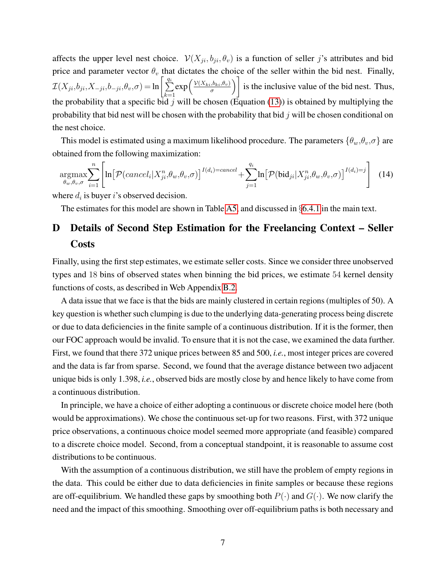affects the upper level nest choice.  $V(X_{ji}, b_{ji}, \theta_v)$  is a function of seller j's attributes and bid price and parameter vector  $\theta_v$  that dictates the choice of the seller within the bid nest. Finally,  $\mathcal{I}(X_{ji}, b_{ji}, X_{-ji}, b_{-ji}, \theta_v, \sigma) = \ln \left[ \frac{q_i}{\sum_{i=1}^{n} q_i} \right]$  $k=1$  $\exp\left(\frac{\mathcal{V}(X_{ki},b_{ki},\theta_v)}{\sigma}\right)$  $\left(\frac{b_{ki},\theta_v}{\sigma}\right)$ is the inclusive value of the bid nest. Thus, the probability that a specific bid j will be chosen (Equation [\(13\)](#page-5-0)) is obtained by multiplying the probability that bid nest will be chosen with the probability that bid  $j$  will be chosen conditional on the nest choice.

This model is estimated using a maximum likelihood procedure. The parameters  $\{\theta_w, \theta_v, \sigma\}$  are obtained from the following maximization:

$$
\underset{\theta_w, \theta_v, \sigma}{\operatorname{argmax}} \sum_{i=1}^n \left[ \ln \left[ \mathcal{P}(cancel_i | X_{ji}^n, \theta_w, \theta_v, \sigma) \right]^{I(d_i) = cancel} + \sum_{j=1}^{q_i} \ln \left[ \mathcal{P}(\text{bid}_{ji} | X_{ji}^n, \theta_w, \theta_v, \sigma) \right]^{I(d_i) = j} \right] \tag{14}
$$

where  $d_i$  is buyer i's observed decision.

The estimates for this model are shown in Table [A5,](#page-13-0) and discussed in  $\S 6.4.1$  $\S 6.4.1$  in the main text.

## D Details of Second Step Estimation for the Freelancing Context – Seller **Costs**

Finally, using the first step estimates, we estimate seller costs. Since we consider three unobserved types and 18 bins of observed states when binning the bid prices, we estimate 54 kernel density functions of costs, as described in Web Appendix [B.2.](#page-2-2)

A data issue that we face is that the bids are mainly clustered in certain regions (multiples of 50). A key question is whether such clumping is due to the underlying data-generating process being discrete or due to data deficiencies in the finite sample of a continuous distribution. If it is the former, then our FOC approach would be invalid. To ensure that it is not the case, we examined the data further. First, we found that there 372 unique prices between 85 and 500, *i.e.*, most integer prices are covered and the data is far from sparse. Second, we found that the average distance between two adjacent unique bids is only 1.398, *i.e.*, observed bids are mostly close by and hence likely to have come from a continuous distribution.

In principle, we have a choice of either adopting a continuous or discrete choice model here (both would be approximations). We chose the continuous set-up for two reasons. First, with 372 unique price observations, a continuous choice model seemed more appropriate (and feasible) compared to a discrete choice model. Second, from a conceptual standpoint, it is reasonable to assume cost distributions to be continuous.

With the assumption of a continuous distribution, we still have the problem of empty regions in the data. This could be either due to data deficiencies in finite samples or because these regions are off-equilibrium. We handled these gaps by smoothing both  $P(\cdot)$  and  $G(\cdot)$ . We now clarify the need and the impact of this smoothing. Smoothing over off-equilibrium paths is both necessary and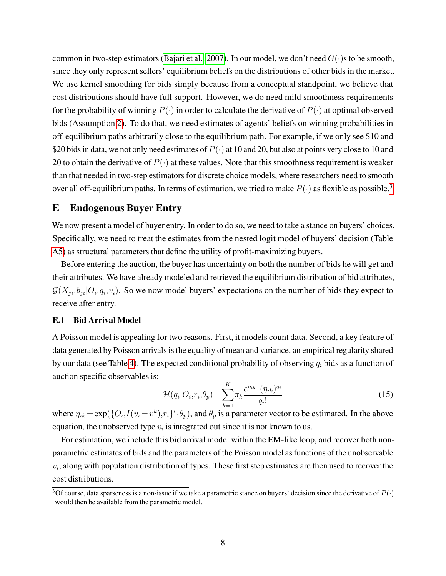common in two-step estimators [\(Bajari et al., 2007\)](#page-14-4). In our model, we don't need  $G(\cdot)$ s to be smooth, since they only represent sellers' equilibrium beliefs on the distributions of other bids in the market. We use kernel smoothing for bids simply because from a conceptual standpoint, we believe that cost distributions should have full support. However, we do need mild smoothness requirements for the probability of winning  $P(\cdot)$  in order to calculate the derivative of  $P(\cdot)$  at optimal observed bids (Assumption [2\)](#page-0-0). To do that, we need estimates of agents' beliefs on winning probabilities in off-equilibrium paths arbitrarily close to the equilibrium path. For example, if we only see \$10 and \$20 bids in data, we not only need estimates of  $P(\cdot)$  at 10 and 20, but also at points very close to 10 and 20 to obtain the derivative of  $P(\cdot)$  at these values. Note that this smoothness requirement is weaker than that needed in two-step estimators for discrete choice models, where researchers need to smooth over all off-equilibrium paths. In terms of estimation, we tried to make  $P(\cdot)$  as flexible as possible.<sup>[3](#page-7-0)</sup>

## E Endogenous Buyer Entry

We now present a model of buyer entry. In order to do so, we need to take a stance on buyers' choices. Specifically, we need to treat the estimates from the nested logit model of buyers' decision (Table [A5\)](#page-13-0) as structural parameters that define the utility of profit-maximizing buyers.

Before entering the auction, the buyer has uncertainty on both the number of bids he will get and their attributes. We have already modeled and retrieved the equilibrium distribution of bid attributes,  $\mathcal{G}(X_{ji}, b_{ji}|O_i, q_i, v_i)$ . So we now model buyers' expectations on the number of bids they expect to receive after entry.

### <span id="page-7-1"></span>E.1 Bid Arrival Model

A Poisson model is appealing for two reasons. First, it models count data. Second, a key feature of data generated by Poisson arrivals is the equality of mean and variance, an empirical regularity shared by our data (see Table [4\)](#page-13-0). The expected conditional probability of observing  $q_i$  bids as a function of auction specific observables is:

$$
\mathcal{H}(q_i|O_i,r_i,\theta_p) = \sum_{k=1}^{K} \pi_k \frac{e^{\eta_{ik}} \cdot (\eta_{ik})^{q_i}}{q_i!}
$$
\n(15)

where  $\eta_{ik} = \exp(\{O_i, I(v_i = v^k), r_i\}' \cdot \theta_p)$ , and  $\theta_p$  is a parameter vector to be estimated. In the above equation, the unobserved type  $v_i$  is integrated out since it is not known to us.

For estimation, we include this bid arrival model within the EM-like loop, and recover both nonparametric estimates of bids and the parameters of the Poisson model as functions of the unobservable  $v_i$ , along with population distribution of types. These first step estimates are then used to recover the cost distributions.

<span id="page-7-0"></span><sup>&</sup>lt;sup>3</sup>Of course, data sparseness is a non-issue if we take a parametric stance on buyers' decision since the derivative of  $P(\cdot)$ would then be available from the parametric model.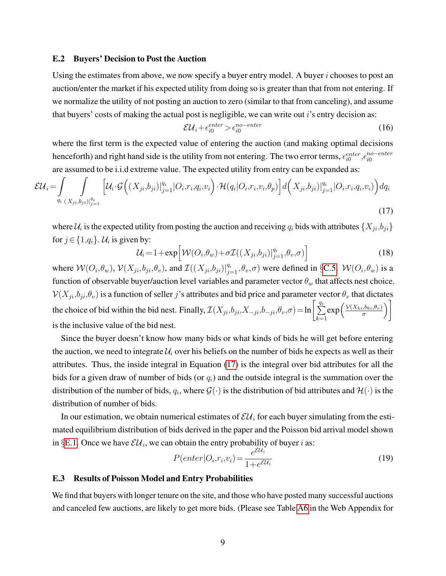#### <span id="page-8-1"></span>E.2 Buyers' Decision to Post the Auction

Using the estimates from above, we now specify a buyer entry model. A buyer  $i$  chooses to post an auction/enter the market if his expected utility from doing so is greater than that from not entering. If we normalize the utility of not posting an auction to zero (similar to that from canceling), and assume that buyers' costs of making the actual post is negligible, we can write out  $i$ 's entry decision as:

$$
\mathcal{E}\mathcal{U}_i + \epsilon_{i0}^{enter} > \epsilon_{i0}^{no-enter} \tag{16}
$$

where the first term is the expected value of entering the auction (and making optimal decisions henceforth) and right hand side is the utility from not entering. The two error terms,  $\epsilon_{i0}^{enter}$ , $\epsilon_{i0}^{no-enter}$ are assumed to be i.i.d extreme value. The expected utility from entry can be expanded as:

<span id="page-8-0"></span>
$$
\mathcal{EU}_i = \int_{q_i} \int_{(X_{ji}, b_{ji})_{ij=1}^{q_i}} \left[ \mathcal{U}_i \cdot \mathcal{G} \Big( (X_{ji}, b_{ji})_{ij=1}^{q_i} | O_i, r_i, q_i, v_i \Big) \cdot \mathcal{H}(q_i | O_i, r_i, v_i, \theta_p) \right] d \Big( X_{ji}, b_{ji})_{ij=1}^{q_i} | O_i, r_i, q_i, v_i \Big) dq_i
$$
\n(17)

where  $\mathcal{U}_i$  is the expected utility from posting the auction and receiving  $q_i$  bids with attributes  $\{X_{ji}, b_{ji}\}$ for  $j \in \{1,q_i\}$ .  $\mathcal{U}_i$  is given by:

$$
\mathcal{U}_i = 1 + \exp\left[\mathcal{W}(O_i, \theta_w) + \sigma \mathcal{I}((X_{ji}, b_{ji})|_{j=1}^{q_i}, \theta_v, \sigma)\right]
$$
(18)

where  $W(O_i, \theta_w)$ ,  $V(X_{ji}, b_{ji}, \theta_v)$ , and  $\mathcal{I}((X_{ji}, b_{ji})|_{j=1}^{q_i}, \theta_v, \sigma)$  were defined in §[C.5.](#page-5-1)  $W(O_i, \theta_w)$  is a function of observable buyer/auction level variables and parameter vector  $\theta_w$  that affects nest choice.  $V(X_{ji},b_{ji},\theta_v)$  is a function of seller j's attributes and bid price and parameter vector  $\theta_v$  that dictates the choice of bid within the bid nest. Finally,  $\mathcal{I}(X_{ji},b_{ji},X_{-ji},b_{-ji},\theta_v,\sigma)$  = ln  $\Big[\sum_{i=1}^{q_i-1}$  $k=1$  $\exp\left(\frac{\mathcal{V}(X_{ki},b_{ki},\theta_v)}{\sigma}\right)$  $\left(\frac{b_{ki},\theta_v}{\sigma}\right)$ is the inclusive value of the bid nest.

Since the buyer doesn't know how many bids or what kinds of bids he will get before entering the auction, we need to integrate  $\mathcal{U}_i$  over his beliefs on the number of bids he expects as well as their attributes. Thus, the inside integral in Equation [\(17\)](#page-8-0) is the integral over bid attributes for all the bids for a given draw of number of bids (or  $q_i$ ) and the outside integral is the summation over the distribution of the number of bids,  $q_i$ , where  $\mathcal{G}(\cdot)$  is the distribution of bid attributes and  $\mathcal{H}(\cdot)$  is the distribution of number of bids.

In our estimation, we obtain numerical estimates of  $\mathcal{E}U_i$  for each buyer simulating from the estimated equilibrium distribution of bids derived in the paper and the Poisson bid arrival model shown in §[E.1.](#page-7-1) Once we have  $\mathcal{E} \mathcal{U}_i$ , we can obtain the entry probability of buyer i as:

<span id="page-8-2"></span>
$$
P(enter|O_i, r_i, v_i) = \frac{e^{\mathcal{E}U_i}}{1 + e^{\mathcal{E}U_i}}
$$
\n(19)

#### E.3 Results of Poisson Model and Entry Probabilities

We find that buyers with longer tenure on the site, and those who have posted many successful auctions and canceled few auctions, are likely to get more bids. (Please see Table [A6](#page-13-1) in the Web Appendix for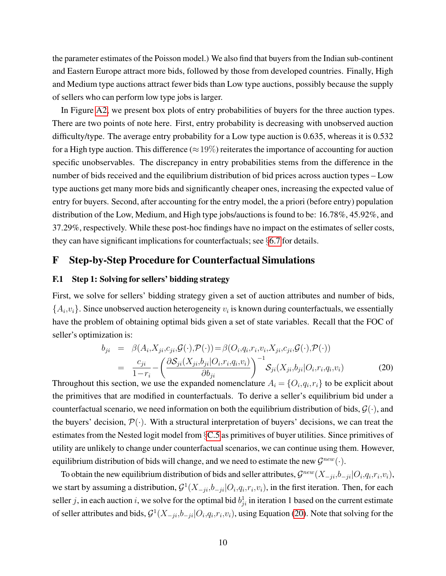the parameter estimates of the Poisson model.) We also find that buyers from the Indian sub-continent and Eastern Europe attract more bids, followed by those from developed countries. Finally, High and Medium type auctions attract fewer bids than Low type auctions, possibly because the supply of sellers who can perform low type jobs is larger.

In Figure [A2,](#page-14-5) we present box plots of entry probabilities of buyers for the three auction types. There are two points of note here. First, entry probability is decreasing with unobserved auction difficulty/type. The average entry probability for a Low type auction is 0.635, whereas it is 0.532 for a High type auction. This difference ( $\approx$  19%) reiterates the importance of accounting for auction specific unobservables. The discrepancy in entry probabilities stems from the difference in the number of bids received and the equilibrium distribution of bid prices across auction types – Low type auctions get many more bids and significantly cheaper ones, increasing the expected value of entry for buyers. Second, after accounting for the entry model, the a priori (before entry) population distribution of the Low, Medium, and High type jobs/auctions is found to be: 16.78%, 45.92%, and 37.29%, respectively. While these post-hoc findings have no impact on the estimates of seller costs, they can have significant implications for counterfactuals; see §[6.7](#page-0-0) for details.

### F Step-by-Step Procedure for Counterfactual Simulations

### F.1 Step 1: Solving for sellers' bidding strategy

First, we solve for sellers' bidding strategy given a set of auction attributes and number of bids,  $\{A_i, v_i\}$ . Since unobserved auction heterogeneity  $v_i$  is known during counterfactuals, we essentially have the problem of obtaining optimal bids given a set of state variables. Recall that the FOC of seller's optimization is:

<span id="page-9-0"></span>
$$
b_{ji} = \beta(A_i, X_{ji}, c_{ji}, \mathcal{G}(\cdot), \mathcal{P}(\cdot)) = \beta(O_i, q_i, r_i, v_i, X_{ji}, c_{ji}, \mathcal{G}(\cdot), \mathcal{P}(\cdot))
$$
  

$$
= \frac{c_{ji}}{1 - r_i} - \left(\frac{\partial S_{ji}(X_{ji}, b_{ji}|O_i, r_i, q_i, v_i)}{\partial b_{ji}}\right)^{-1} S_{ji}(X_{ji}, b_{ji}|O_i, r_i, q_i, v_i)
$$
(20)

Throughout this section, we use the expanded nomenclature  $A_i = \{O_i, q_i, r_i\}$  to be explicit about the primitives that are modified in counterfactuals. To derive a seller's equilibrium bid under a counterfactual scenario, we need information on both the equilibrium distribution of bids,  $\mathcal{G}(\cdot)$ , and the buyers' decision,  $\mathcal{P}(\cdot)$ . With a structural interpretation of buyers' decisions, we can treat the estimates from the Nested logit model from §[C.5](#page-5-1) as primitives of buyer utilities. Since primitives of utility are unlikely to change under counterfactual scenarios, we can continue using them. However, equilibrium distribution of bids will change, and we need to estimate the new  $\mathcal{G}^{new}(\cdot)$ .

To obtain the new equilibrium distribution of bids and seller attributes,  $\mathcal{G}^{new}(X_{-ji},b_{-ji}|O_i,q_i,r_i,v_i)$ , we start by assuming a distribution,  $\mathcal{G}^1(X_{-ji}, b_{-ji} | O_i, q_i, r_i, v_i)$ , in the first iteration. Then, for each seller j, in each auction i, we solve for the optimal bid  $b_{ji}^1$  in iteration 1 based on the current estimate of seller attributes and bids,  $\mathcal{G}^1(X_{-ji}, b_{-ji} | O_i, q_i, r_i, v_i)$ , using Equation [\(20\)](#page-9-0). Note that solving for the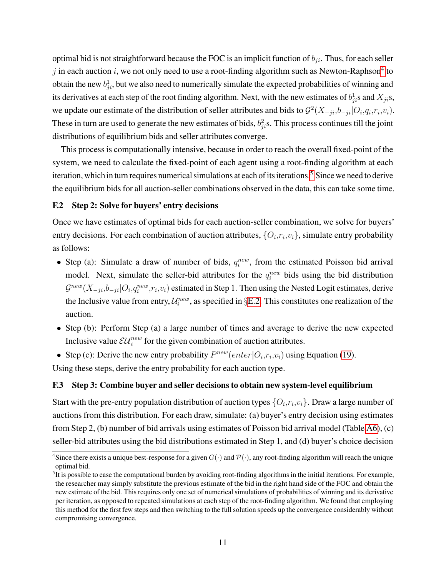optimal bid is not straightforward because the FOC is an implicit function of  $b_{ji}$ . Thus, for each seller j in each auction i, we not only need to use a root-finding algorithm such as Newton-Raphson<sup>[4](#page-10-0)</sup> to obtain the new  $b_{ji}^1$ , but we also need to numerically simulate the expected probabilities of winning and its derivatives at each step of the root finding algorithm. Next, with the new estimates of  $b_{ji}^1$ s and  $X_{ji}$ s, we update our estimate of the distribution of seller attributes and bids to  $\mathcal{G}^2(X_{-ji}, b_{-ji} | O_i, q_i, r_i, v_i)$ . These in turn are used to generate the new estimates of bids,  $b_{ji}^2$ s. This process continues till the joint distributions of equilibrium bids and seller attributes converge.

This process is computationally intensive, because in order to reach the overall fixed-point of the system, we need to calculate the fixed-point of each agent using a root-finding algorithm at each iteration, which in turn requires numerical simulations at each of its iterations.<sup>[5](#page-10-1)</sup> Since we need to derive the equilibrium bids for all auction-seller combinations observed in the data, this can take some time.

### F.2 Step 2: Solve for buyers' entry decisions

Once we have estimates of optimal bids for each auction-seller combination, we solve for buyers' entry decisions. For each combination of auction attributes,  $\{O_i, r_i, v_i\}$ , simulate entry probability as follows:

- Step (a): Simulate a draw of number of bids,  $q_i^{new}$ , from the estimated Poisson bid arrival model. Next, simulate the seller-bid attributes for the  $q_i^{new}$  bids using the bid distribution  $\mathcal{G}^{new}(X_{-ji},b_{-ji}|O_i,q_i^{new},r_i,v_i)$  estimated in Step 1. Then using the Nested Logit estimates, derive the Inclusive value from entry,  $\mathcal{U}_i^{new}$ , as specified in §[E.2.](#page-8-1) This constitutes one realization of the auction.
- Step (b): Perform Step (a) a large number of times and average to derive the new expected Inclusive value  $\mathcal{E}\mathcal{U}^{new}_{i}$  for the given combination of auction attributes.
- Step (c): Derive the new entry probability  $P^{new}(enter|O_i,r_i,v_i)$  using Equation [\(19\)](#page-8-2).

Using these steps, derive the entry probability for each auction type.

### F.3 Step 3: Combine buyer and seller decisions to obtain new system-level equilibrium

Start with the pre-entry population distribution of auction types  $\{O_i, r_i, v_i\}$ . Draw a large number of auctions from this distribution. For each draw, simulate: (a) buyer's entry decision using estimates from Step 2, (b) number of bid arrivals using estimates of Poisson bid arrival model (Table [A6\)](#page-13-1), (c) seller-bid attributes using the bid distributions estimated in Step 1, and (d) buyer's choice decision

<span id="page-10-0"></span><sup>&</sup>lt;sup>4</sup>Since there exists a unique best-response for a given  $G(\cdot)$  and  $\mathcal{P}(\cdot)$ , any root-finding algorithm will reach the unique optimal bid.

<span id="page-10-1"></span> $5$ It is possible to ease the computational burden by avoiding root-finding algorithms in the initial iterations. For example, the researcher may simply substitute the previous estimate of the bid in the right hand side of the FOC and obtain the new estimate of the bid. This requires only one set of numerical simulations of probabilities of winning and its derivative per iteration, as opposed to repeated simulations at each step of the root-finding algorithm. We found that employing this method for the first few steps and then switching to the full solution speeds up the convergence considerably without compromising convergence.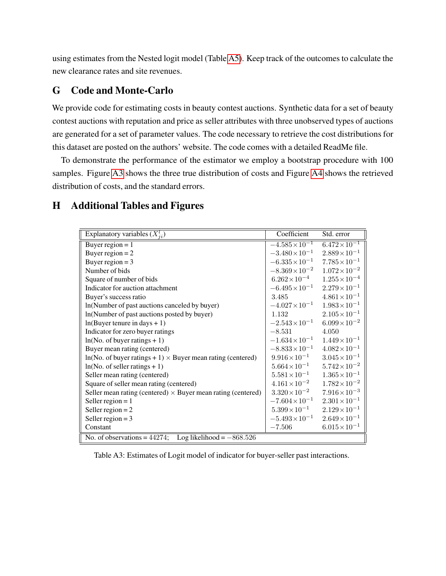using estimates from the Nested logit model (Table [A5\)](#page-13-0). Keep track of the outcomes to calculate the new clearance rates and site revenues.

## G Code and Monte-Carlo

We provide code for estimating costs in beauty contest auctions. Synthetic data for a set of beauty contest auctions with reputation and price as seller attributes with three unobserved types of auctions are generated for a set of parameter values. The code necessary to retrieve the cost distributions for this dataset are posted on the authors' website. The code comes with a detailed ReadMe file.

To demonstrate the performance of the estimator we employ a bootstrap procedure with 100 samples. Figure [A3](#page-14-3) shows the three true distribution of costs and Figure [A4](#page-14-3) shows the retrieved distribution of costs, and the standard errors.

## H Additional Tables and Figures

| Explanatory variables $(X_{ii}^l)$                                  | Coefficient              | Std. error             |  |  |
|---------------------------------------------------------------------|--------------------------|------------------------|--|--|
| Buyer region $= 1$                                                  | $-4.585 \times 10^{-1}$  | $6.472 \times 10^{-1}$ |  |  |
| Buyer region $= 2$                                                  | $-3.480 \times 10^{-1}$  | $2.889 \times 10^{-1}$ |  |  |
| Buyer region $=$ 3                                                  | $-6.335 \times 10^{-1}$  | $7.785 \times 10^{-1}$ |  |  |
| Number of bids                                                      | $-8.369 \times 10^{-2}$  | $1.072 \times 10^{-2}$ |  |  |
| Square of number of bids                                            | $6.262\times10^{-4}$     | $1.255 \times 10^{-4}$ |  |  |
| Indicator for auction attachment                                    | $-6.495 \times 10^{-1}$  | $2.279 \times 10^{-1}$ |  |  |
| Buyer's success ratio                                               | 3.485                    | $4.861 \times 10^{-1}$ |  |  |
| ln(Number of past auctions canceled by buyer)                       | $-4.027\times10^{-1}$    | $1.983 \times 10^{-1}$ |  |  |
| ln(Number of past auctions posted by buyer)                         | 1.132                    | $2.105 \times 10^{-1}$ |  |  |
| $ln(Buyer$ tenure in days + 1)                                      | $-2.543 \times 10^{-1}$  | $6.099 \times 10^{-2}$ |  |  |
| Indicator for zero buyer ratings                                    | $-8.531$                 | 4.050                  |  |  |
| $ln(No. of buyer ratings + 1)$                                      | $-1.634\times10^{-1}$    | $1.449 \times 10^{-1}$ |  |  |
| Buyer mean rating (centered)                                        | $-8.833 \times 10^{-1}$  | $4.082 \times 10^{-1}$ |  |  |
| $ln(No. of buyer ratings + 1) \times Buyer mean rating (centered)$  | $9.916\times10^{-1}$     | $3.045 \times 10^{-1}$ |  |  |
| $ln(No. of seller ratings + 1)$                                     | $5.664 \times 10^{-1}$   | $5.742 \times 10^{-2}$ |  |  |
| Seller mean rating (centered)                                       | $5.581 \times 10^{-1}$   | $1.365 \times 10^{-1}$ |  |  |
| Square of seller mean rating (centered)                             | $4.161 \times 10^{-2}$   | $1.782 \times 10^{-2}$ |  |  |
| Seller mean rating (centered) $\times$ Buyer mean rating (centered) | $3.320\!\times\!10^{-2}$ | $7.916\times10^{-3}$   |  |  |
| Seller region = $1$                                                 | $-7.604\times10^{-1}$    | $2.301 \times 10^{-1}$ |  |  |
| Seller region $= 2$                                                 | $5.399 \times 10^{-1}$   | $2.129 \times 10^{-1}$ |  |  |
| Seller region = $3$                                                 | $-5.493 \times 10^{-1}$  | $2.649 \times 10^{-1}$ |  |  |
| Constant                                                            | $-7.506$                 | $6.015 \times 10^{-1}$ |  |  |
| Log likelihood = $-868.526$<br>No. of observations = $44274$ ;      |                          |                        |  |  |

Table A3: Estimates of Logit model of indicator for buyer-seller past interactions.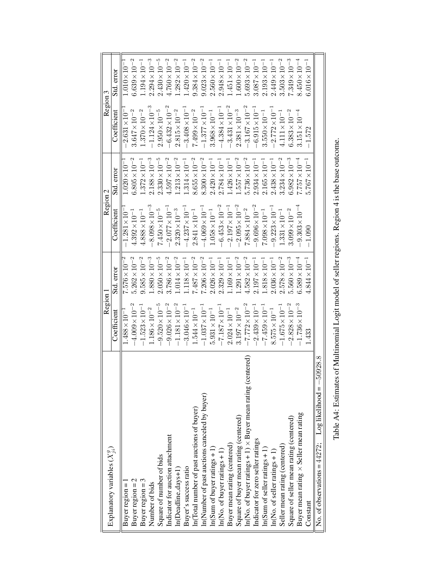<span id="page-12-0"></span>

| Explanatory variables $(X_{ii}^y)$                                   | Region                  |                        | Region 2                 |                                  | Region 3                            |                        |
|----------------------------------------------------------------------|-------------------------|------------------------|--------------------------|----------------------------------|-------------------------------------|------------------------|
|                                                                      | Coefficient             | Std. error             | $\text{Coefficient}$     | Std. error                       | $\mathop{\rm Coeff}\nolimits$ cient | Std. error             |
| Buyer region =                                                       | $1.488 \times 10^{-7}$  | $7.576 \times 10^{-7}$ | $-1.281 \times 10$       | $1.020 \times 10^{-7}$           | $2.631 \times 10^{-7}$              | $1.010\times10^{-1}$   |
| Buyer region $= 2$                                                   | $-4.009 \times 10^{-2}$ | $5.262\times10^{-2}$   | $4.392 \times 10^{-1}$   | $6.805 \times 10^{-2}$           | $3.647\times10^{-2}$                | $6.639 \times 10^{-2}$ |
| Buyer region = $3$                                                   | $-1.523 \times 10^{-1}$ | $9.585\times10^{-2}$   | $4.888 \times 10^{-1}$   | $1.372 \times 10^{-1}$           | $1.370\times10^{-2}$                | $1.194\times10^{-1}$   |
| Number of bids                                                       | $1.186\times10^{-2}$    | $1.880 \times 10^{-3}$ | $8.098\!\times\!10^{-3}$ | $.188 \times 10^{-3}$<br>2       | $-1.124\times10^{-3}$               | $2.294\times10^{-3}$   |
| Square of number of bids                                             | $-9.520\times10^{-5}$   | $2.050\times10^{-5}$   | $7.450\times10^{-5}$     | $2.330\times10^{-5}$             | $2.950\times10^{-5}$                | $2.430\times10^{-5}$   |
| Indicator for auction attachment                                     | $-9.026\times10^{-2}$   | $3.786 \times 10^{-2}$ | $2.077 \times 10^{-1}$   | $4.597\times10^{-2}$             | $-6.432 \times 10^{-2}$             | $4.760 \times 10^{-2}$ |
| In(Deadline_days+1)                                                  | $-1.181 \times 10^{-2}$ | $.014\times10^{-2}$    | $2.320\times10^{-3}$     | $.213\times10^{-2}$              | $2.815\times10^{-2}$                | $.282\times10^{-2}$    |
| Buyer's success ratio                                                | $-3.046 \times 10^{-1}$ | $1.118 \times 10^{-1}$ | $-4.237\times10^{-1}$    | $1.314 \times 10^{-1}$           | $-3.408 \times 10^{-1}$             | $420 \times 10^{-1}$   |
| In(Total number of past auctions of buyer)                           | $1.544 \times 10^{-1}$  | $7.487\times10^{-2}$   | $2.841 \times 10^{-1}$   | $8.655 \times 10^{-2}$           | $7.499\times10^{-2}$                | $9.384\times10^{-2}$   |
| In(Number of past auctions canceled by buyer)                        | $-1.037 \times 10^{-1}$ | $7.206\times10^{-2}$   | $-4.069\times10^{-1}$    | $8.300\times10^{-2}$             | $-1.377\times10^{-1}$               | $9.023\times10^{-2}$   |
| $ln(Sum of buyer ratings + 1)$                                       | $5.931 \times 10^{-1}$  | $2.026 \times 10^{-1}$ | $1.058 \times 10^{-1}$   | $2.420 \times 10^{-1}$           | $3.968 \times 10^{-1}$              | $2.560 \times 10^{-1}$ |
| $ln(No.$ of buyer ratings $+1)$                                      | $-7.187\times10^{-1}$   | $2.329 \times 10^{-1}$ | $-6.453\times10^{-2}$    | $2.784 \times 10^{-1}$           | $-4.384 \times 10^{-1}$             | $2.948 \times 10^{-1}$ |
| Buyer mean rating (centered)                                         | $2.024 \times 10^{-1}$  | $1.169 \times 10^{-1}$ | $2.197 \times 10^{-1}$   | $1.426 \times 10^{-1}$           | $-3.431 \times 10^{-2}$             | $.451 \times 10^{-1}$  |
| Square of buyer mean rating (centered)                               | $3.197\times10^{-2}$    | $.291\times10^{-2}$    | $2.095\times10^{-2}$     | $.557\times10^{-2}$              | $2.381\times10^{-3}$                | $.600\times10^{-2}$    |
| In(No. of buyer ratings $+1$ ) $\times$ Buyer mean rating (centered) | $-7.772\times10^{-2}$   | $4.582 \times 10^{-2}$ | $7.884 \times 10^{-2}$   | $5.736 \times 10^{-2}$           | $-3.167 \times 10^{-2}$             | $5.693\times10^{-2}$   |
| Indicator for zero seller ratings                                    | $-2.439 \times 10^{-1}$ | $2.197 \times 10^{-1}$ | $9.696\times10^{-2}$     | $2.934 \times 10^{-1}$           | $6.915 \times 10^{-1}$              | $3.087 \times 10^{-1}$ |
| $ln(Sum of seller ratings + 1)$                                      | $-7.459 \times 10^{-1}$ | $1.818 \times 10^{-1}$ | $7.098 \times 10^{-1}$   | $2.165 \times 10^{-1}$           | $3.550 \times 10^{-1}$              | $2.193 \times 10^{-1}$ |
| $ln(No. of seller ratings + 1)$                                      | $8.575 \times 10^{-1}$  | $2.036 \times 10^{-1}$ | $9.223 \times 10^{-1}$   | $.438 \times 10^{-1}$<br>Ċ٩      | $-2.772\times10^{-1}$               | $2.449 \times 10^{-1}$ |
| Seller mean rating (centered)                                        | $-1.675 \times 10^{-1}$ | $2.578\times10^{-2}$   | $1.331 \times 10^{-1}$   | $3.234 \times 10^{-2}$           | $4.111 \times 10^{-1}$              | $3.503\times10^{-2}$   |
| Square of seller mean rating (centered)                              | $-2.828 \times 10^{-2}$ | $5.560 \times 10^{-3}$ | $3.099 \times 10^{-2}$   | $.982 \times 10^{-3}$<br>$\circ$ | $6.383 \times 10^{-2}$              | $7.349 \times 10^{-3}$ |
| Buyer mean rating $\times$ Seller mean rating                        | $-1.736 \times 10^{-3}$ | $6.589 \times 10^{-4}$ | $9.303 \times 10^{-4}$   | $.757 \times 10^{-4}$            | $3.151 \times 10^{-4}$              | $8.450 \times 10^{-4}$ |
| Constant                                                             | 1.433                   | $4.844 \times 10^{-1}$ | $-1.090$                 | $5.767 \times 10^{-1}$           | $-1.572$                            | $6.016 \times 10^{-1}$ |
| 50928.8<br>No. of observations = $44272$ ; Log likelihood = $-$      |                         |                        |                          |                                  |                                     |                        |
|                                                                      |                         |                        |                          |                                  |                                     |                        |

Table A4: Estimates of Multinomial Logit model of seller regions. Region 4 is the base outcome. Table A4: Estimates of Multinomial Logit model of seller regions. Region 4 is the base outcome.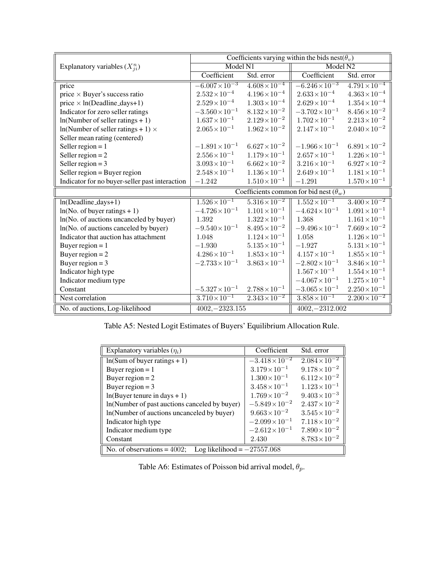<span id="page-13-0"></span>

|                                                | Coefficients varying within the bids nest( $\theta_v$ ) |                          |                         |                          |
|------------------------------------------------|---------------------------------------------------------|--------------------------|-------------------------|--------------------------|
| Explanatory variables $(X_{ii}^n)$             | Model N1                                                |                          | Model N2                |                          |
|                                                | Coefficient                                             | Std. error               | Coefficient             | Std. error               |
| price                                          | $-\overline{6.007 \times 10^{-3}}$                      | $4.608 \times 10^{-4}$   | $-6.246 \times 10^{-3}$ | $4.791 \times 10^{-4}$   |
| price $\times$ Buyer's success ratio           | $2.532\!\times\!10^{-4}$                                | $4.196\!\times\!10^{-4}$ | $2.633 \times 10^{-4}$  | $4.363 \times 10^{-4}$   |
| price $\times$ ln(Deadline_days+1)             | $2.529 \times 10^{-4}$                                  | $1.303 \times 10^{-4}$   | $2.629 \times 10^{-4}$  | $1.354\!\times\!10^{-4}$ |
| Indicator for zero seller ratings              | $-3.560 \times 10^{-1}$                                 | $8.132 \times 10^{-2}$   | $-3.702 \times 10^{-1}$ | $8.456\!\times\!10^{-2}$ |
| $ln(Number$ of seller ratings + 1)             | $1.637 \times 10^{-1}$                                  | $2.129 \times 10^{-2}$   | $1.702 \times 10^{-1}$  | $2.213 \times 10^{-2}$   |
| $ln(Number$ of seller ratings + 1) $\times$    | $2.065 \times 10^{-1}$                                  | $1.962 \times 10^{-2}$   | $2.147 \times 10^{-1}$  | $2.040 \times 10^{-2}$   |
| Seller mean rating (centered)                  |                                                         |                          |                         |                          |
| Seller region = $1$                            | $-1.891 \times 10^{-1}$                                 | $6.627 \times 10^{-2}$   | $-1.966 \times 10^{-1}$ | $6.891\!\times\!10^{-2}$ |
| Seller region = $2$                            | $2.556 \times 10^{-1}$                                  | $1.179 \times 10^{-1}$   | $2.657 \times 10^{-1}$  | $1.226 \times 10^{-1}$   |
| Seller region = $3$                            | $3.093 \times 10^{-1}$                                  | $6.662 \times 10^{-2}$   | $3.216 \times 10^{-1}$  | $6.927 \times 10^{-2}$   |
| Seller region = Buyer region                   | $2.548 \times 10^{-1}$                                  | $1.136 \times 10^{-1}$   | $2.649 \times 10^{-1}$  | $1.181 \times 10^{-1}$   |
| Indicator for no buyer-seller past interaction | $-1.242$                                                | $1.510 \times 10^{-1}$   | $-1.291$                | $1.570 \times 10^{-1}$   |
|                                                | Coefficients common for bid nest $(\theta_w)$           |                          |                         |                          |
| $ln(Deadline-days+1)$                          | $1.526 \times 10^{-1}$                                  | $5.316 \times 10^{-2}$   | $1.552 \times 10^{-1}$  | $3.400 \times 10^{-2}$   |
| $ln(No. of buyer ratings + 1)$                 | $-4.726 \times 10^{-1}$                                 | $1.101 \times 10^{-1}$   | $-4.624 \times 10^{-1}$ | $1.091 \times 10^{-1}$   |
| ln(No. of auctions uncanceled by buyer)        | 1.392                                                   | $1.322 \times 10^{-1}$   | 1.368                   | $1.161 \times 10^{-1}$   |
| ln(No. of auctions canceled by buyer)          | $-9.540 \times 10^{-1}$                                 | $8.495 \times 10^{-2}$   | $-9.496 \times 10^{-1}$ | $7.669 \times 10^{-2}$   |
| Indicator that auction has attachment          | 1.048                                                   | $1.124 \times 10^{-1}$   | 1.058                   | $1.126 \times 10^{-1}$   |
| Buyer region $= 1$                             | $-1.930$                                                | $5.135 \times 10^{-1}$   | $-1.927$                | $5.131 \times 10^{-1}$   |
| Buyer region $= 2$                             | $4.286 \times 10^{-1}$                                  | $1.853 \times 10^{-1}$   | $4.157 \times 10^{-1}$  | $1.855\!\times\!10^{-1}$ |
| Buyer region = $3$                             | $-2.733 \times 10^{-1}$                                 | $3.863 \times 10^{-1}$   | $-2.802 \times 10^{-1}$ | $3.846 \times 10^{-1}$   |
| Indicator high type                            |                                                         |                          | $1.567 \times 10^{-1}$  | $1.554 \times 10^{-1}$   |
| Indicator medium type                          |                                                         |                          | $-4.067\times10^{-1}$   | $1.275 \times 10^{-1}$   |
| Constant                                       | $-5.327 \times 10^{-1}$                                 | $2.788 \times 10^{-1}$   | $-3.065 \times 10^{-1}$ | $2.250 \times 10^{-1}$   |
| Nest correlation                               | $3.710 \times 10^{-1}$                                  | $2.343 \times 10^{-2}$   | $3.858 \times 10^{-1}$  | $2.200 \times 10^{-2}$   |
| No. of auctions, Log-likelihood                | $4002, -2323.155$                                       |                          | $4002, -2312.002$       |                          |

Table A5: Nested Logit Estimates of Buyers' Equilibrium Allocation Rule.

<span id="page-13-1"></span>

| Explanatory variables $(\eta_i)$                               | Coefficient             | Std. error               |  |  |  |  |
|----------------------------------------------------------------|-------------------------|--------------------------|--|--|--|--|
| $ln(Sum of buyer ratings + 1)$                                 | $-3.418 \times 10^{-2}$ | $2.084 \times 10^{-2}$   |  |  |  |  |
| Buyer region $= 1$                                             | $3.179 \times 10^{-1}$  | $9.178 \times 10^{-2}$   |  |  |  |  |
| Buyer region $= 2$                                             | $1.300 \times 10^{-1}$  | $6.112\times10^{-2}$     |  |  |  |  |
| Buyer region = $3$                                             | $3.458 \times 10^{-1}$  | $1.123 \times 10^{-1}$   |  |  |  |  |
| $ln(Buyer$ tenure in days + 1)                                 | $1.769 \times 10^{-2}$  | $9.403 \times 10^{-3}$   |  |  |  |  |
| In(Number of past auctions canceled by buyer)                  | $-5.849 \times 10^{-2}$ | $2.437 \times 10^{-2}$   |  |  |  |  |
| ln(Number of auctions uncanceled by buyer)                     | $9.663 \times 10^{-2}$  | $3.545 \times 10^{-2}$   |  |  |  |  |
| Indicator high type                                            | $-2.099 \times 10^{-1}$ | $7.118 \times 10^{-2}$   |  |  |  |  |
| Indicator medium type                                          | $-2.612 \times 10^{-1}$ | $7.890 \times 10^{-2}$   |  |  |  |  |
| Constant                                                       | 2.430                   | $8.783\!\times\!10^{-2}$ |  |  |  |  |
| No. of observations = $4002$ ;<br>Log likelihood $=-27557.068$ |                         |                          |  |  |  |  |

Table A6: Estimates of Poisson bid arrival model,  $\theta_p$ .